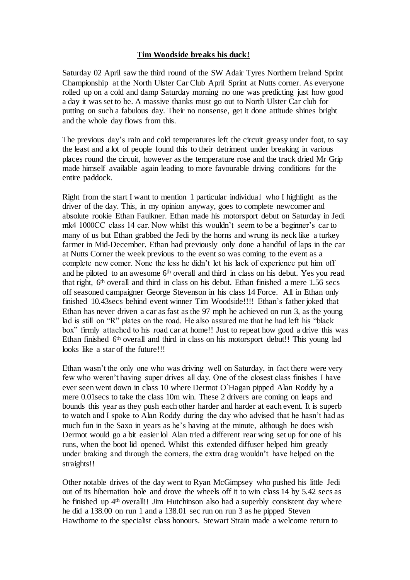### **Tim Woodside breaks his duck!**

Saturday 02 April saw the third round of the SW Adair Tyres Northern Ireland Sprint Championship at the North Ulster Car Club April Sprint at Nutts corner. As everyone rolled up on a cold and damp Saturday morning no one was predicting just how good a day it was set to be. A massive thanks must go out to North Ulster Car club for putting on such a fabulous day. Their no nonsense, get it done attitude shines bright and the whole day flows from this.

The previous day's rain and cold temperatures left the circuit greasy under foot, to say the least and a lot of people found this to their detriment under breaking in various places round the circuit, however as the temperature rose and the track dried Mr Grip made himself available again leading to more favourable driving conditions for the entire paddock.

Right from the start I want to mention 1 particular individual who I highlight as the driver of the day. This, in my opinion anyway, goes to complete newcomer and absolute rookie Ethan Faulkner. Ethan made his motorsport debut on Saturday in Jedi mk4 1000CC class 14 car. Now whilst this wouldn't seem to be a beginner's car to many of us but Ethan grabbed the Jedi by the horns and wrung its neck like a turkey farmer in Mid-December. Ethan had previously only done a handful of laps in the car at Nutts Corner the week previous to the event so was coming to the event as a complete new comer. None the less he didn't let his lack of experience put him off and he piloted to an awesome 6<sup>th</sup> overall and third in class on his debut. Yes you read that right, 6th overall and third in class on his debut. Ethan finished a mere 1.56 secs off seasoned campaigner George Stevenson in his class 14 Force. All in Ethan only finished 10.43secs behind event winner Tim Woodside!!!! Ethan's father joked that Ethan has never driven a car as fast as the 97 mph he achieved on run 3, as the young lad is still on "R" plates on the road. He also assured me that he had left his "black box" firmly attached to his road car at home!! Just to repeat how good a drive this was Ethan finished 6th overall and third in class on his motorsport debut!! This young lad looks like a star of the future!!!

Ethan wasn't the only one who was driving well on Saturday, in fact there were very few who weren't having super drives all day. One of the closest class finishes I have ever seen went down in class 10 where Dermot O`Hagan pipped Alan Roddy by a mere 0.01secs to take the class 10m win. These 2 drivers are coming on leaps and bounds this year as they push each other harder and harder at each event. It is superb to watch and I spoke to Alan Roddy during the day who advised that he hasn't had as much fun in the Saxo in years as he's having at the minute, although he does wish Dermot would go a bit easier lol Alan tried a different rear wing set up for one of his runs, when the boot lid opened. Whilst this extended diffuser helped him greatly under braking and through the corners, the extra drag wouldn't have helped on the straights!!

Other notable drives of the day went to Ryan McGimpsey who pushed his little Jedi out of its hibernation hole and drove the wheels off it to win class 14 by 5.42 secs as he finished up 4th overall!! Jim Hutchinson also had a superbly consistent day where he did a 138.00 on run 1 and a 138.01 sec run on run 3 as he pipped Steven Hawthorne to the specialist class honours. Stewart Strain made a welcome return to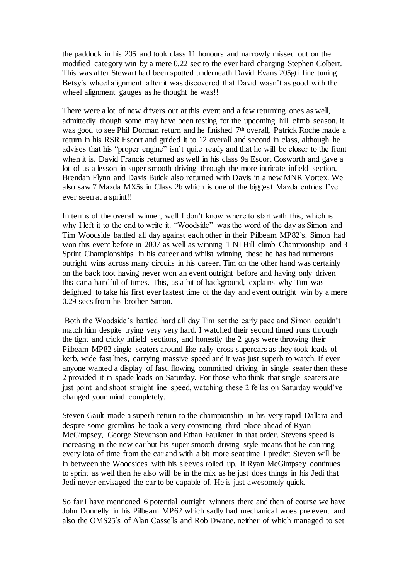the paddock in his 205 and took class 11 honours and narrowly missed out on the modified category win by a mere 0.22 sec to the ever hard charging Stephen Colbert. This was after Stewart had been spotted underneath David Evans 205gti fine tuning Betsy`s wheel alignment after it was discovered that David wasn't as good with the wheel alignment gauges as he thought he was!!

There were a lot of new drivers out at this event and a few returning ones as well, admittedly though some may have been testing for the upcoming hill climb season. It was good to see Phil Dorman return and he finished 7<sup>th</sup> overall, Patrick Roche made a return in his RSR Escort and guided it to 12 overall and second in class, although he advises that his "proper engine" isn't quite ready and that he will be closer to the front when it is. David Francis returned as well in his class 9a Escort Cosworth and gave a lot of us a lesson in super smooth driving through the more intricate infield section. Brendan Flynn and Davis Buick also returned with Davis in a new MNR Vortex. We also saw 7 Mazda MX5s in Class 2b which is one of the biggest Mazda entries I've ever seen at a sprint!!

In terms of the overall winner, well I don't know where to start with this, which is why I left it to the end to write it. "Woodside" was the word of the day as Simon and Tim Woodside battled all day against each other in their Pilbeam MP82`s. Simon had won this event before in 2007 as well as winning 1 NI Hill climb Championship and 3 Sprint Championships in his career and whilst winning these he has had numerous outright wins across many circuits in his career. Tim on the other hand was certainly on the back foot having never won an event outright before and having only driven this car a handful of times. This, as a bit of background, explains why Tim was delighted to take his first ever fastest time of the day and event outright win by a mere 0.29 secs from his brother Simon.

Both the Woodside's battled hard all day Tim set the early pace and Simon couldn't match him despite trying very very hard. I watched their second timed runs through the tight and tricky infield sections, and honestly the 2 guys were throwing their Pilbeam MP82 single seaters around like rally cross supercars as they took loads of kerb, wide fast lines, carrying massive speed and it was just superb to watch. If ever anyone wanted a display of fast, flowing committed driving in single seater then these 2 provided it in spade loads on Saturday. For those who think that single seaters are just point and shoot straight line speed, watching these 2 fellas on Saturday would've changed your mind completely.

Steven Gault made a superb return to the championship in his very rapid Dallara and despite some gremlins he took a very convincing third place ahead of Ryan McGimpsey, George Stevenson and Ethan Faulkner in that order. Stevens speed is increasing in the new car but his super smooth driving style means that he can ring every iota of time from the car and with a bit more seat time I predict Steven will be in between the Woodsides with his sleeves rolled up. If Ryan McGimpsey continues to sprint as well then he also will be in the mix as he just does things in his Jedi that Jedi never envisaged the car to be capable of. He is just awesomely quick.

So far I have mentioned 6 potential outright winners there and then of course we have John Donnelly in his Pilbeam MP62 which sadly had mechanical woes pre event and also the OMS25`s of Alan Cassells and Rob Dwane, neither of which managed to set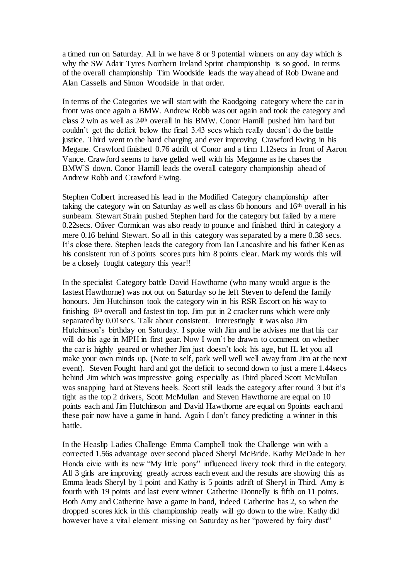a timed run on Saturday. All in we have 8 or 9 potential winners on any day which is why the SW Adair Tyres Northern Ireland Sprint championship is so good. In terms of the overall championship Tim Woodside leads the way ahead of Rob Dwane and Alan Cassells and Simon Woodside in that order.

In terms of the Categories we will start with the Raodgoing category where the car in front was once again a BMW. Andrew Robb was out again and took the category and class 2 win as well as 24th overall in his BMW. Conor Hamill pushed him hard but couldn't get the deficit below the final 3.43 secs which really doesn't do the battle justice. Third went to the hard charging and ever improving Crawford Ewing in his Megane. Crawford finished 0.76 adrift of Conor and a firm 1.12secs in front of Aaron Vance. Crawford seems to have gelled well with his Meganne as he chases the BMW`S down. Conor Hamill leads the overall category championship ahead of Andrew Robb and Crawford Ewing.

Stephen Colbert increased his lead in the Modified Category championship after taking the category win on Saturday as well as class 6b honours and 16th overall in his sunbeam. Stewart Strain pushed Stephen hard for the category but failed by a mere 0.22secs. Oliver Cormican was also ready to pounce and finished third in category a mere 0.16 behind Stewart. So all in this category was separated by a mere 0.38 secs. It's close there. Stephen leads the category from Ian Lancashire and his father Ken as his consistent run of 3 points scores puts him 8 points clear. Mark my words this will be a closely fought category this year!!

In the specialist Category battle David Hawthorne (who many would argue is the fastest Hawthorne) was not out on Saturday so he left Steven to defend the family honours. Jim Hutchinson took the category win in his RSR Escort on his way to finishing 8th overall and fastest tin top. Jim put in 2 cracker runs which were only separated by 0.01secs. Talk about consistent. Interestingly it was also Jim Hutchinson's birthday on Saturday. I spoke with Jim and he advises me that his car will do his age in MPH in first gear. Now I won't be drawn to comment on whether the car is highly geared or whether Jim just doesn't look his age, but IL let you all make your own minds up. (Note to self, park well well well away from Jim at the next event). Steven Fought hard and got the deficit to second down to just a mere 1.44secs behind Jim which was impressive going especially as Third placed Scott McMullan was snapping hard at Stevens heels. Scott still leads the category after round 3 but it's tight as the top 2 drivers, Scott McMullan and Steven Hawthorne are equal on 10 points each and Jim Hutchinson and David Hawthorne are equal on 9points each and these pair now have a game in hand. Again I don't fancy predicting a winner in this battle.

In the Heaslip Ladies Challenge Emma Campbell took the Challenge win with a corrected 1.56s advantage over second placed Sheryl McBride. Kathy McDade in her Honda civic with its new "My little pony" influenced livery took third in the category. All 3 girls are improving greatly across each event and the results are showing this as Emma leads Sheryl by 1 point and Kathy is 5 points adrift of Sheryl in Third. Amy is fourth with 19 points and last event winner Catherine Donnelly is fifth on 11 points. Both Amy and Catherine have a game in hand, indeed Catherine has 2, so when the dropped scores kick in this championship really will go down to the wire. Kathy did however have a vital element missing on Saturday as her "powered by fairy dust"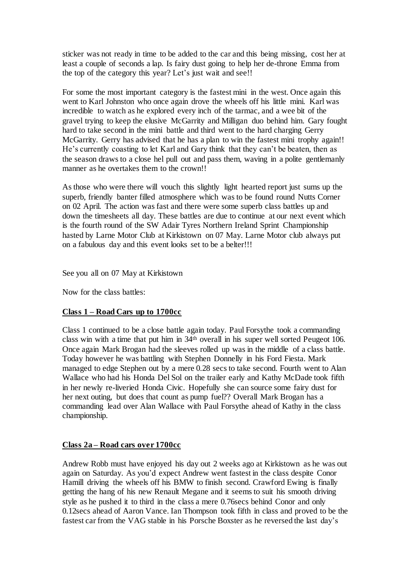sticker was not ready in time to be added to the car and this being missing, cost her at least a couple of seconds a lap. Is fairy dust going to help her de-throne Emma from the top of the category this year? Let's just wait and see!!

For some the most important category is the fastest mini in the west. Once again this went to Karl Johnston who once again drove the wheels off his little mini. Karl was incredible to watch as he explored every inch of the tarmac, and a wee bit of the gravel trying to keep the elusive McGarrity and Milligan duo behind him. Gary fought hard to take second in the mini battle and third went to the hard charging Gerry McGarrity. Gerry has advised that he has a plan to win the fastest mini trophy again!! He's currently coasting to let Karl and Gary think that they can't be beaten, then as the season draws to a close hel pull out and pass them, waving in a polite gentlemanly manner as he overtakes them to the crown!!

As those who were there will vouch this slightly light hearted report just sums up the superb, friendly banter filled atmosphere which was to be found round Nutts Corner on 02 April. The action was fast and there were some superb class battles up and down the timesheets all day. These battles are due to continue at our next event which is the fourth round of the SW Adair Tyres Northern Ireland Sprint Championship hasted by Larne Motor Club at Kirkistown on 07 May. Larne Motor club always put on a fabulous day and this event looks set to be a belter!!!

See you all on 07 May at Kirkistown

Now for the class battles:

### **Class 1 – Road Cars up to 1700cc**

Class 1 continued to be a close battle again today. Paul Forsythe took a commanding class win with a time that put him in 34th overall in his super well sorted Peugeot 106. Once again Mark Brogan had the sleeves rolled up was in the middle of a class battle. Today however he was battling with Stephen Donnelly in his Ford Fiesta. Mark managed to edge Stephen out by a mere 0.28 secs to take second. Fourth went to Alan Wallace who had his Honda Del Sol on the trailer early and Kathy McDade took fifth in her newly re-liveried Honda Civic. Hopefully she can source some fairy dust for her next outing, but does that count as pump fuel?? Overall Mark Brogan has a commanding lead over Alan Wallace with Paul Forsythe ahead of Kathy in the class championship.

### **Class 2a – Road cars over 1700cc**

Andrew Robb must have enjoyed his day out 2 weeks ago at Kirkistown as he was out again on Saturday. As you'd expect Andrew went fastest in the class despite Conor Hamill driving the wheels off his BMW to finish second. Crawford Ewing is finally getting the hang of his new Renault Megane and it seems to suit his smooth driving style as he pushed it to third in the class a mere 0.76secs behind Conor and only 0.12secs ahead of Aaron Vance. Ian Thompson took fifth in class and proved to be the fastest car from the VAG stable in his Porsche Boxster as he reversed the last day's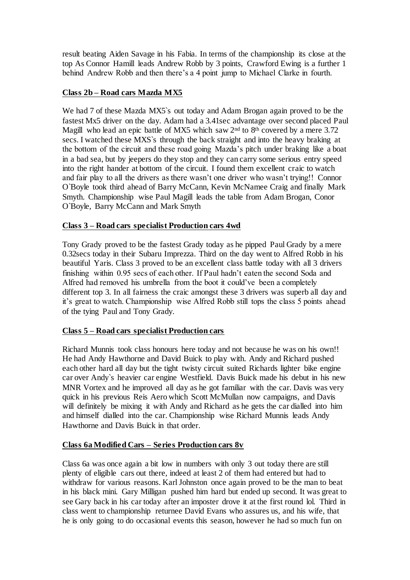result beating Aiden Savage in his Fabia. In terms of the championship its close at the top As Connor Hamill leads Andrew Robb by 3 points, Crawford Ewing is a further 1 behind Andrew Robb and then there's a 4 point jump to Michael Clarke in fourth.

## **Class 2b – Road cars Mazda MX5**

We had 7 of these Mazda MX5`s out today and Adam Brogan again proved to be the fastest Mx5 driver on the day. Adam had a 3.41sec advantage over second placed Paul Magill who lead an epic battle of MX5 which saw  $2<sup>nd</sup>$  to  $8<sup>th</sup>$  covered by a mere 3.72 secs. I watched these MXS`s through the back straight and into the heavy braking at the bottom of the circuit and these road going Mazda's pitch under braking like a boat in a bad sea, but by jeepers do they stop and they can carry some serious entry speed into the right hander at bottom of the circuit. I found them excellent craic to watch and fair play to all the drivers as there wasn't one driver who wasn't trying!! Connor O`Boyle took third ahead of Barry McCann, Kevin McNamee Craig and finally Mark Smyth. Championship wise Paul Magill leads the table from Adam Brogan, Conor O`Boyle, Barry McCann and Mark Smyth

### **Class 3 – Road cars specialist Production cars 4wd**

Tony Grady proved to be the fastest Grady today as he pipped Paul Grady by a mere 0.32secs today in their Subaru Imprezza. Third on the day went to Alfred Robb in his beautiful Yaris. Class 3 proved to be an excellent class battle today with all 3 drivers finishing within 0.95 secs of each other. If Paul hadn't eaten the second Soda and Alfred had removed his umbrella from the boot it could've been a completely different top 3. In all fairness the craic amongst these 3 drivers was superb all day and it's great to watch. Championship wise Alfred Robb still tops the class 5 points ahead of the tying Paul and Tony Grady.

### **Class 5 – Road cars specialist Production cars**

Richard Munnis took class honours here today and not because he was on his own!! He had Andy Hawthorne and David Buick to play with. Andy and Richard pushed each other hard all day but the tight twisty circuit suited Richards lighter bike engine car over Andy`s heavier car engine Westfield. Davis Buick made his debut in his new MNR Vortex and he improved all day as he got familiar with the car. Davis was very quick in his previous Reis Aero which Scott McMullan now campaigns, and Davis will definitely be mixing it with Andy and Richard as he gets the car dialled into him and himself dialled into the car. Championship wise Richard Munnis leads Andy Hawthorne and Davis Buick in that order.

## **Class 6a Modified Cars – Series Production cars 8v**

Class 6a was once again a bit low in numbers with only 3 out today there are still plenty of eligible cars out there, indeed at least 2 of them had entered but had to withdraw for various reasons. Karl Johnston once again proved to be the man to beat in his black mini. Gary Milligan pushed him hard but ended up second. It was great to see Gary back in his car today after an imposter drove it at the first round lol. Third in class went to championship returnee David Evans who assures us, and his wife, that he is only going to do occasional events this season, however he had so much fun on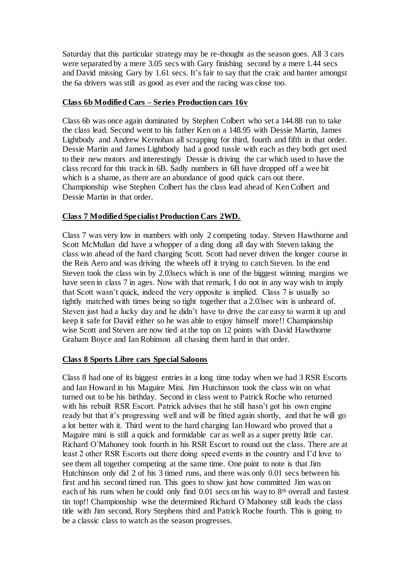Saturday that this particular strategy may be re-thought as the season goes. All 3 cars were separated by a mere 3.05 secs with Gary finishing second by a mere 1.44 secs and David missing Gary by 1.61 secs. It's fair to say that the craic and banter amongst the 6a drivers was still as good as ever and the racing was close too.

## **Class 6b Modified Cars – Series Production cars 16v**

Class 6b was once again dominated by Stephen Colbert who set a 144.88 run to take the class lead. Second went to his father Ken on a 148.95 with Dessie Martin, James Lightbody and Andrew Kernohan all scrapping for third, fourth and fifth in that order. Dessie Martin and James Lightbody had a good tussle with each as they both get used to their new motors and interestingly Dessie is driving the car which used to have the class record for this track in 6B. Sadly numbers in 6B have dropped off a wee bit which is a shame, as there are an abundance of good quick cars out there. Championship wise Stephen Colbert has the class lead ahead of Ken Colbert and Dessie Martin in that order.

# **Class 7 Modified Specialist Production Cars 2WD.**

Class 7 was very low in numbers with only 2 competing today. Steven Hawthorne and Scott McMullan did have a whopper of a ding dong all day with Steven taking the class win ahead of the hard charging Scott. Scott had never driven the longer course in the Reis Aero and was driving the wheels off it trying to catch Steven. In the end Steven took the class win by 2.03secs which is one of the biggest winning margins we have seen in class 7 in ages. Now with that remark, I do not in any way wish to imply that Scott wasn't quick, indeed the very opposite is implied. Class 7 is usually so tightly matched with times being so tight together that a 2.03sec win is unheard of. Steven just had a lucky day and he didn't have to drive the car easy to warm it up and keep it safe for David either so he was able to enjoy himself more!! Championship wise Scott and Steven are now tied at the top on 12 points with David Hawthorne Graham Boyce and Ian Robinson all chasing them hard in that order.

## **Class 8 Sports Libre cars Special Saloons**

Class 8 had one of its biggest entries in a long time today when we had 3 RSR Escorts and Ian Howard in his Maguire Mini. Jim Hutchinson took the class win on what turned out to be his birthday. Second in class went to Patrick Roche who returned with his rebuilt RSR Escort. Patrick advises that he still hasn't got his own engine ready but that it's progressing well and will be fitted again shortly, and that he will go a lot better with it. Third went to the hard charging Ian Howard who proved that a Maguire mini is still a quick and formidable car as well as a super pretty little car. Richard O`Mahoney took fourth in his RSR Escort to round out the class. There are at least 2 other RSR Escorts out there doing speed events in the country and I'd love to see them all together competing at the same time. One point to note is that Jim Hutchinson only did 2 of his 3 timed runs, and there was only 0.01 secs between his first and his second timed run. This goes to show just how committed Jim was on each of his runs when he could only find  $0.01$  secs on his way to  $8<sup>th</sup>$  overall and fastest tin top!! Championship wise the determined Richard O`Mahoney still leads the class title with Jim second, Rory Stephens third and Patrick Roche fourth. This is going to be a classic class to watch as the season progresses.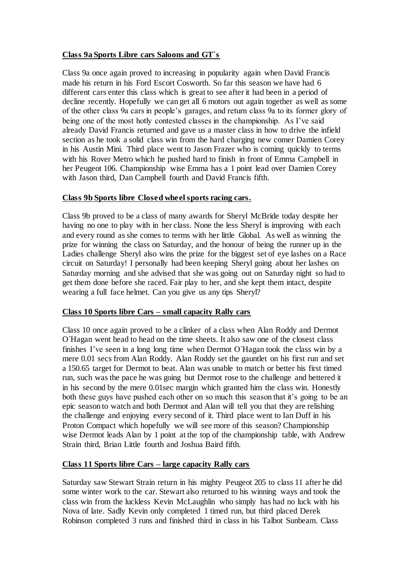## **Class 9a Sports Libre cars Saloons and GT`s**

Class 9a once again proved to increasing in popularity again when David Francis made his return in his Ford Escort Cosworth. So far this season we have had 6 different cars enter this class which is great to see after it had been in a period of decline recently. Hopefully we can get all 6 motors out again together as well as some of the other class 9a cars in people's garages, and return class 9a to its former glory of being one of the most hotly contested classes in the championship. As I've said already David Francis returned and gave us a master class in how to drive the infield section as he took a solid class win from the hard charging new comer Damien Corey in his Austin Mini. Third place went to Jason Frazer who is coming quickly to terms with his Rover Metro which he pushed hard to finish in front of Emma Campbell in her Peugeot 106. Championship wise Emma has a 1 point lead over Damien Corey with Jason third, Dan Campbell fourth and David Francis fifth.

### **Class 9b Sports libre Closed wheel sports racing cars.**

Class 9b proved to be a class of many awards for Sheryl McBride today despite her having no one to play with in her class. None the less Sheryl is improving with each and every round as she comes to terms with her little Global. As well as winning the prize for winning the class on Saturday, and the honour of being the runner up in the Ladies challenge Sheryl also wins the prize for the biggest set of eye lashes on a Race circuit on Saturday! I personally had been keeping Sheryl going about her lashes on Saturday morning and she advised that she was going out on Saturday night so had to get them done before she raced. Fair play to her, and she kept them intact, despite wearing a full face helmet. Can you give us any tips Sheryl?

### **Class 10 Sports libre Cars – small capacity Rally cars**

Class 10 once again proved to be a clinker of a class when Alan Roddy and Dermot O`Hagan went head to head on the time sheets. It also saw one of the closest class finishes I've seen in a long long time when Dermot O`Hagan took the class win by a mere 0.01 secs from Alan Roddy. Alan Roddy set the gauntlet on his first run and set a 150.65 target for Dermot to beat. Alan was unable to match or better his first timed run, such was the pace he was going but Dermot rose to the challenge and bettered it in his second by the mere 0.01sec margin which granted him the class win. Honestly both these guys have pushed each other on so much this season that it's going to be an epic season to watch and both Dermot and Alan will tell you that they are relishing the challenge and enjoying every second of it. Third place went to Ian Duff in his Proton Compact which hopefully we will see more of this season? Championship wise Dermot leads Alan by 1 point at the top of the championship table, with Andrew Strain third, Brian Little fourth and Joshua Baird fifth.

### **Class 11 Sports libre Cars – large capacity Rally cars**

Saturday saw Stewart Strain return in his mighty Peugeot 205 to class 11 after he did some winter work to the car. Stewart also returned to his winning ways and took the class win from the luckless Kevin McLaughlin who simply has had no luck with his Nova of late. Sadly Kevin only completed 1 timed run, but third placed Derek Robinson completed 3 runs and finished third in class in his Talbot Sunbeam. Class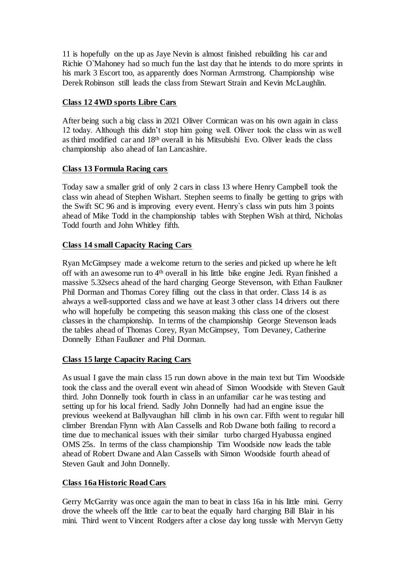11 is hopefully on the up as Jaye Nevin is almost finished rebuilding his car and Richie O`Mahoney had so much fun the last day that he intends to do more sprints in his mark 3 Escort too, as apparently does Norman Armstrong. Championship wise Derek Robinson still leads the class from Stewart Strain and Kevin McLaughlin.

## **Class 12 4WD sports Libre Cars**

After being such a big class in 2021 Oliver Cormican was on his own again in class 12 today. Although this didn't stop him going well. Oliver took the class win as well as third modified car and 18th overall in his Mitsubishi Evo. Oliver leads the class championship also ahead of Ian Lancashire.

### **Class 13 Formula Racing cars**

Today saw a smaller grid of only 2 cars in class 13 where Henry Campbell took the class win ahead of Stephen Wishart. Stephen seems to finally be getting to grips with the Swift SC 96 and is improving every event. Henry`s class win puts him 3 points ahead of Mike Todd in the championship tables with Stephen Wish at third, Nicholas Todd fourth and John Whitley fifth.

### **Class 14 small Capacity Racing Cars**

Ryan McGimpsey made a welcome return to the series and picked up where he left off with an awesome run to 4th overall in his little bike engine Jedi. Ryan finished a massive 5.32secs ahead of the hard charging George Stevenson, with Ethan Faulkner Phil Dorman and Thomas Corey filling out the class in that order. Class 14 is as always a well-supported class and we have at least 3 other class 14 drivers out there who will hopefully be competing this season making this class one of the closest classes in the championship. In terms of the championship George Stevenson leads the tables ahead of Thomas Corey, Ryan McGimpsey, Tom Devaney, Catherine Donnelly Ethan Faulkner and Phil Dorman.

### **Class 15 large Capacity Racing Cars**

As usual I gave the main class 15 run down above in the main text but Tim Woodside took the class and the overall event win ahead of Simon Woodside with Steven Gault third. John Donnelly took fourth in class in an unfamiliar car he was testing and setting up for his local friend. Sadly John Donnelly had had an engine issue the previous weekend at Ballyvaughan hill climb in his own car. Fifth went to regular hill climber Brendan Flynn with Alan Cassells and Rob Dwane both failing to record a time due to mechanical issues with their similar turbo charged Hyabussa engined OMS 25s. In terms of the class championship Tim Woodside now leads the table ahead of Robert Dwane and Alan Cassells with Simon Woodside fourth ahead of Steven Gault and John Donnelly.

## **Class 16a Historic Road Cars**

Gerry McGarrity was once again the man to beat in class 16a in his little mini. Gerry drove the wheels off the little car to beat the equally hard charging Bill Blair in his mini. Third went to Vincent Rodgers after a close day long tussle with Mervyn Getty